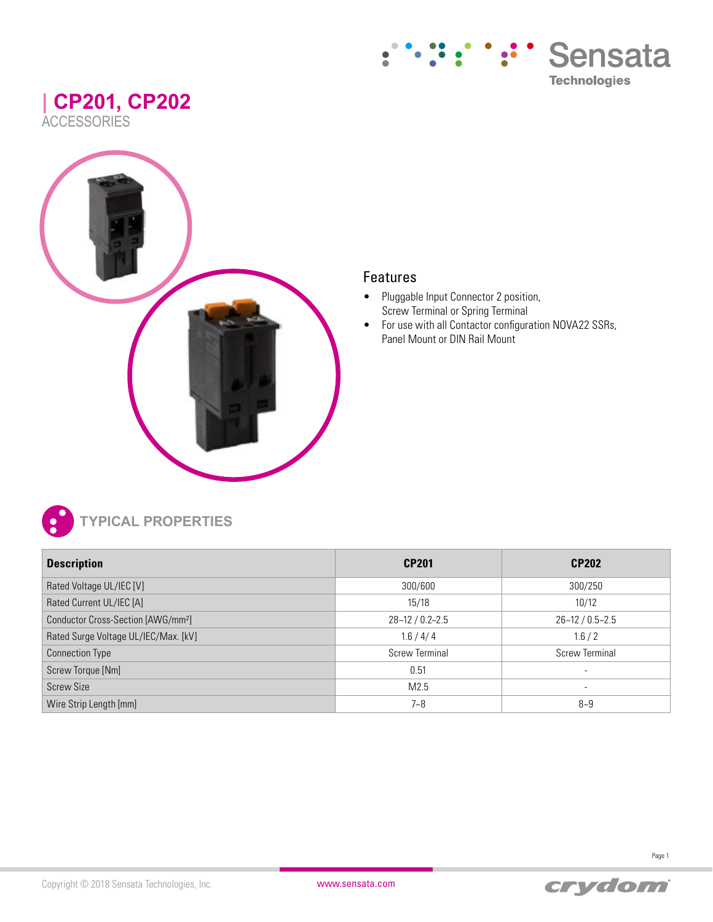### **| CP201, CP202 ACCESSORIES**





### Features

- Pluggable Input Connector 2 position, Screw Terminal or Spring Terminal
- For use with all Contactor configuration NOVA22 SSRs, Panel Mount or DIN Rail Mount



**TYPICAL PROPERTIES**

| <b>Description</b>                             | <b>CP201</b>          | <b>CP202</b>             |
|------------------------------------------------|-----------------------|--------------------------|
| Rated Voltage UL/IEC [V]                       | 300/600               | 300/250                  |
| Rated Current UL/IEC [A]                       | 15/18                 | 10/12                    |
| Conductor Cross-Section [AWG/mm <sup>2</sup> ] | $28 - 12 / 0.2 - 2.5$ | $26 - 12 / 0.5 - 2.5$    |
| Rated Surge Voltage UL/IEC/Max. [kV]           | 1.6 / 4 / 4           | 1.6/2                    |
| <b>Connection Type</b>                         | <b>Screw Terminal</b> | <b>Screw Terminal</b>    |
| Screw Torque [Nm]                              | 0.51                  | $\overline{\phantom{a}}$ |
| <b>Screw Size</b>                              | M2.5                  | $\overline{\phantom{a}}$ |
| Wire Strip Length [mm]                         | $7 - 8$               | $8 - 9$                  |